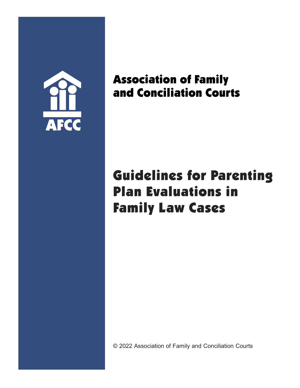

## **Association of Family** and Conciliation Courts

# **Guidelines for Parenting Plan Evaluations in Family Law Cases**

© 2022 Association of Family and Conciliation Courts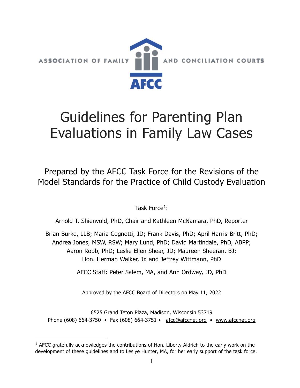

# Guidelines for Parenting Plan Evaluations in Family Law Cases

Prepared by the AFCC Task Force for the Revisions of the Model Standards for the Practice of Child Custody Evaluation

Task Force<sup>1</sup>:

Arnold T. Shienvold, PhD, Chair and Kathleen McNamara, PhD, Reporter

Brian Burke, LLB; Maria Cognetti, JD; Frank Davis, PhD; April Harris-Britt, PhD; Andrea Jones, MSW, RSW; Mary Lund, PhD; David Martindale, PhD, ABPP; Aaron Robb, PhD; Leslie Ellen Shear, JD; Maureen Sheeran, BJ; Hon. Herman Walker, Jr. and Jeffrey Wittmann, PhD

AFCC Staff: Peter Salem, MA, and Ann Ordway, JD, PhD

Approved by the AFCC Board of Directors on May 11, 2022

6525 Grand Teton Plaza, Madison, Wisconsin 53719 Phone (608) 664-3750 • Fax (608) 664-3751 • [afcc@afccnet.org](mailto:afcc@afccnet.org) • [www.afccnet.org](http://www.afccnet.org/)

<span id="page-1-0"></span><sup>&</sup>lt;sup>1</sup> AFCC gratefully acknowledges the contributions of Hon. Liberty Aldrich to the early work on the development of these guidelines and to Leslye Hunter, MA, for her early support of the task force.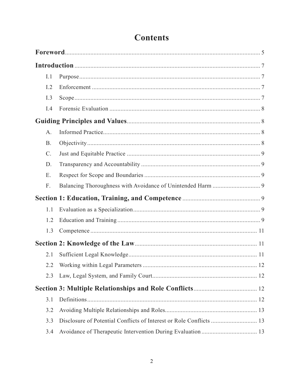| I.1       |                                                                     |  |
|-----------|---------------------------------------------------------------------|--|
| I.2       |                                                                     |  |
| I.3       |                                                                     |  |
| I.4       |                                                                     |  |
|           |                                                                     |  |
| A.        |                                                                     |  |
| <b>B.</b> |                                                                     |  |
| $C$ .     |                                                                     |  |
| D.        |                                                                     |  |
| E.        |                                                                     |  |
| F.        |                                                                     |  |
|           |                                                                     |  |
| 1.1       |                                                                     |  |
| 1.2       |                                                                     |  |
| 1.3       |                                                                     |  |
|           |                                                                     |  |
| 2.1       |                                                                     |  |
| 2.2       |                                                                     |  |
| 2.3       |                                                                     |  |
|           |                                                                     |  |
| 3.1       |                                                                     |  |
| 3.2       |                                                                     |  |
| 3.3       | Disclosure of Potential Conflicts of Interest or Role Conflicts  13 |  |
| 3.4       |                                                                     |  |

## **Contents**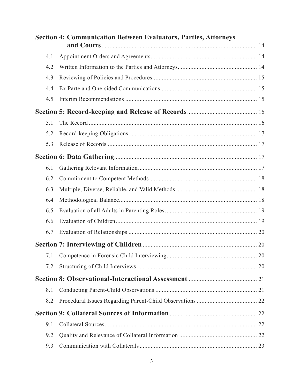|     | <b>Section 4: Communication Between Evaluators, Parties, Attorneys</b> |  |
|-----|------------------------------------------------------------------------|--|
|     |                                                                        |  |
| 4.1 |                                                                        |  |
| 4.2 |                                                                        |  |
| 4.3 |                                                                        |  |
| 4.4 |                                                                        |  |
| 4.5 |                                                                        |  |
|     |                                                                        |  |
| 5.1 |                                                                        |  |
| 5.2 |                                                                        |  |
| 5.3 |                                                                        |  |
|     |                                                                        |  |
| 6.1 |                                                                        |  |
| 6.2 |                                                                        |  |
| 6.3 |                                                                        |  |
| 6.4 |                                                                        |  |
| 6.5 |                                                                        |  |
| 6.6 |                                                                        |  |
| 6.7 |                                                                        |  |
|     |                                                                        |  |
| 7.1 |                                                                        |  |
| 7.2 |                                                                        |  |
|     |                                                                        |  |
| 8.1 |                                                                        |  |
| 8.2 |                                                                        |  |
|     |                                                                        |  |
| 9.1 |                                                                        |  |
| 9.2 |                                                                        |  |
| 9.3 |                                                                        |  |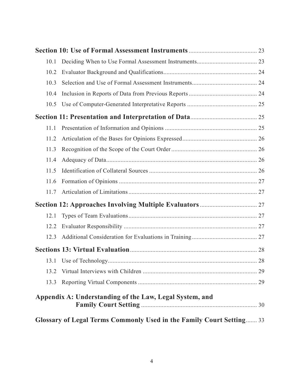| 10.1                                                                 |  |  |  |
|----------------------------------------------------------------------|--|--|--|
| 10.2                                                                 |  |  |  |
| 10.3                                                                 |  |  |  |
| 10.4                                                                 |  |  |  |
| 10.5                                                                 |  |  |  |
|                                                                      |  |  |  |
| 11.1                                                                 |  |  |  |
| 11.2                                                                 |  |  |  |
| 11.3                                                                 |  |  |  |
| 11.4                                                                 |  |  |  |
| 11.5                                                                 |  |  |  |
| 11.6                                                                 |  |  |  |
| 11.7                                                                 |  |  |  |
|                                                                      |  |  |  |
| 12.1                                                                 |  |  |  |
| 12.2                                                                 |  |  |  |
| 12.3                                                                 |  |  |  |
|                                                                      |  |  |  |
|                                                                      |  |  |  |
| 13.2                                                                 |  |  |  |
| 13.3                                                                 |  |  |  |
| Appendix A: Understanding of the Law, Legal System, and              |  |  |  |
| Glossary of Legal Terms Commonly Used in the Family Court Setting 33 |  |  |  |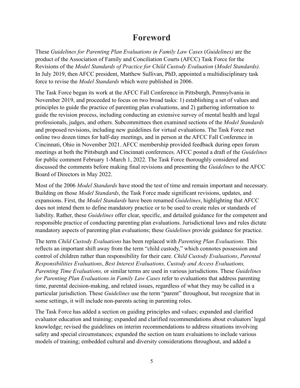## **Foreword**

These *Guidelines for Parenting Plan Evaluations in Family Law Cases* (*Guidelines)* are the product of the Association of Family and Conciliation Courts (AFCC) Task Force for the Revisions of the *Model Standards of Practice for Child Custody Evaluation* (*Model Standards).* In July 2019, then AFCC president, Matthew Sullivan, PhD, appointed a multidisciplinary task force to revise the *Model Standards* which were published in 2006.

The Task Force began its work at the AFCC Fall Conference in Pittsburgh, Pennsylvania in November 2019, and proceeded to focus on two broad tasks: 1) establishing a set of values and principles to guide the practice of parenting plan evaluations, and 2) gathering information to guide the revision process, including conducting an extensive survey of mental health and legal professionals, judges, and others. Subcommittees then examined sections of the *Model Standards* and proposed revisions, including new guidelines for virtual evaluations. The Task Force met online two dozen times for half-day meetings, and in person at the AFCC Fall Conference in Cincinnati, Ohio in November 2021. AFCC membership provided feedback during open forum meetings at both the Pittsburgh and Cincinnati conferences. AFCC posted a draft of the *Guidelines*  for public comment February 1-March 1, 2022. The Task Force thoroughly considered and discussed the comments before making final revisions and presenting the *Guidelines* to the AFCC Board of Directors in May 2022.

Most of the 2006 *Model Standards* have stood the test of time and remain important and necessary. Building on those *Model Standards*, the Task Force made significant revisions, updates, and expansions. First, the *Model Standards* have been renamed *Guidelines*, highlighting that AFCC does not intend them to define mandatory practice or to be used to create rules or standards of liability. Rather, these *Guidelines* offer clear, specific, and detailed guidance for the competent and responsible practice of conducting parenting plan evaluations. Jurisdictional laws and rules dictate mandatory aspects of parenting plan evaluations; these *Guidelines* provide guidance for practice.

The term *Child Custody Evaluations* has been replaced with *Parenting Plan Evaluations.* This reflects an important shift away from the term "child custody," which connotes possession and control of children rather than responsibility for their care. *Child Custody Evaluations*, *Parental Responsibilities Evaluations*, *Best Interest Evaluations, Custody and Access Evaluations, Parenting Time Evaluations,* or similar terms are used in various jurisdictions. These *Guidelines for Parenting Plan Evaluations in Family Law Cases* refer to evaluations that address parenting time, parental decision-making, and related issues, regardless of what they may be called in a particular jurisdiction. These *Guidelines* use the term "parent" throughout, but recognize that in some settings, it will include non-parents acting in parenting roles.

The Task Force has added a section on guiding principles and values; expanded and clarified evaluator education and training; expanded and clarified recommendations about evaluators' legal knowledge; revised the guidelines on interim recommendations to address situations involving safety and special circumstances; expanded the section on team evaluations to include various models of training; embedded cultural and diversity considerations throughout, and added a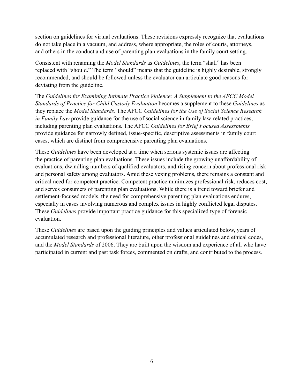section on guidelines for virtual evaluations. These revisions expressly recognize that evaluations do not take place in a vacuum, and address, where appropriate, the roles of courts, attorneys, and others in the conduct and use of parenting plan evaluations in the family court setting.

Consistent with renaming the *Model Standards* as *Guidelines*, the term "shall" has been replaced with "should." The term "should" means that the guideline is highly desirable, strongly recommended, and should be followed unless the evaluator can articulate good reasons for deviating from the guideline.

The *Guidelines for Examining Intimate Practice Violence: A Supplement to the AFCC Model Standards of Practice for Child Custody Evaluation* becomes a supplement to these *Guidelines* as they replace the *Model Standards*. The AFCC *Guidelines for the Use of Social Science Research in Family Law* provide guidance for the use of social science in family law-related practices, including parenting plan evaluations. The AFCC *Guidelines for Brief Focused Assessments* provide guidance for narrowly defined, issue-specific, descriptive assessments in family court cases, which are distinct from comprehensive parenting plan evaluations.

These *Guidelines* have been developed at a time when serious systemic issues are affecting the practice of parenting plan evaluations. These issues include the growing unaffordability of evaluations, dwindling numbers of qualified evaluators, and rising concern about professional risk and personal safety among evaluators. Amid these vexing problems, there remains a constant and critical need for competent practice. Competent practice minimizes professional risk, reduces cost, and serves consumers of parenting plan evaluations. While there is a trend toward briefer and settlement-focused models, the need for comprehensive parenting plan evaluations endures, especially in cases involving numerous and complex issues in highly conflicted legal disputes. These *Guidelines* provide important practice guidance for this specialized type of forensic evaluation.

These *Guidelines* are based upon the guiding principles and values articulated below, years of accumulated research and professional literature, other professional guidelines and ethical codes, and the *Model Standards* of 2006. They are built upon the wisdom and experience of all who have participated in current and past task forces, commented on drafts, and contributed to the process.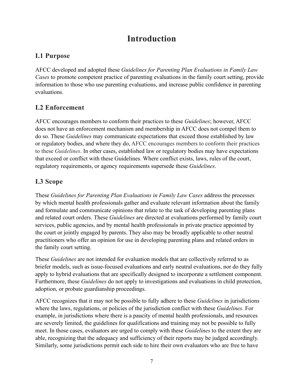## **Introduction**

#### **I.1 Purpose**

AFCC developed and adopted these *Guidelines for Parenting Plan Evaluations in Family Law Cases* to promote competent practice of parenting evaluations in the family court setting, provide information to those who use parenting evaluations, and increase public confidence in parenting evaluations.

#### **I.2 Enforcement**

AFCC encourages members to conform their practices to these *Guidelines*; however, AFCC does not have an enforcement mechanism and membership in AFCC does not compel them to do so. These *Guidelines* may communicate expectations that exceed those established by law or regulatory bodies, and where they do, AFCC encourages members to conform their practices to these *Guidelines*. In other cases, established law or regulatory bodies may have expectations that exceed or conflict with these Guidelines. Where conflict exists, laws, rules of the court, regulatory requirements, or agency requirements supersede these *Guidelines*.

#### **I.3 Scope**

These *Guidelines for Parenting Plan Evaluations in Family Law Cases* address the processes by which mental health professionals gather and evaluate relevant information about the family and formulate and communicate opinions that relate to the task of developing parenting plans and related court orders. These *Guidelines* are directed at evaluations performed by family court services, public agencies, and by mental health professionals in private practice appointed by the court or jointly engaged by parents. They also may be broadly applicable to other neutral practitioners who offer an opinion for use in developing parenting plans and related orders in the family court setting.

These *Guidelines* are not intended for evaluation models that are collectively referred to as briefer models, such as issue-focused evaluations and early neutral evaluations, nor do they fully apply to hybrid evaluations that are specifically designed to incorporate a settlement component. Furthermore, these *Guidelines* do not apply to investigations and evaluations in child protection, adoption, or probate guardianship proceedings.

AFCC recognizes that it may not be possible to fully adhere to these *Guidelines* in jurisdictions where the laws, regulations, or policies of the jurisdiction conflict with these *Guidelines*. For example, in jurisdictions where there is a paucity of mental health professionals, and resources are severely limited, the guidelines for qualifications and training may not be possible to fully meet. In those cases, evaluators are urged to comply with these *Guidelines* to the extent they are able, recognizing that the adequacy and sufficiency of their reports may be judged accordingly. Similarly, some jurisdictions permit each side to hire their own evaluators who are free to have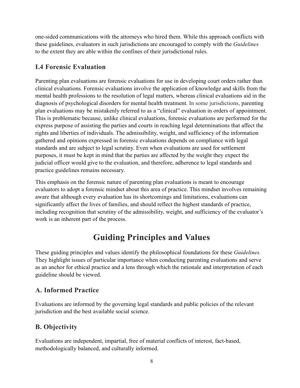one-sided communications with the attorneys who hired them. While this approach conflicts with these guidelines, evaluators in such jurisdictions are encouraged to comply with the *Guidelines* to the extent they are able within the confines of their jurisdictional rules.

#### **I.4 Forensic Evaluation**

Parenting plan evaluations are forensic evaluations for use in developing court orders rather than clinical evaluations. Forensic evaluations involve the application of knowledge and skills from the mental health professions to the resolution of legal matters, whereas clinical evaluations aid in the diagnosis of psychological disorders for mental health treatment. In some jurisdictions, parenting plan evaluations may be mistakenly referred to as a "clinical" evaluation in orders of appointment. This is problematic because, unlike clinical evaluations, forensic evaluations are performed for the express purpose of assisting the parties and courts in reaching legal determinations that affect the rights and liberties of individuals. The admissibility, weight, and sufficiency of the information gathered and opinions expressed in forensic evaluations depends on compliance with legal standards and are subject to legal scrutiny. Even when evaluations are used for settlement purposes, it must be kept in mind that the parties are affected by the weight they expect the judicial officer would give to the evaluation, and therefore, adherence to legal standards and practice guidelines remains necessary.

This emphasis on the forensic nature of parenting plan evaluations is meant to encourage evaluators to adopt a forensic mindset about this area of practice. This mindset involves remaining aware that although every evaluation has its shortcomings and limitations, evaluations can significantly affect the lives of families, and should reflect the highest standards of practice, including recognition that scrutiny of the admissibility, weight, and sufficiency of the evaluator's work is an inherent part of the process.

## **Guiding Principles and Values**

These guiding principles and values identify the philosophical foundations for these *Guidelines.*  They highlight issues of particular importance when conducting parenting evaluations and serve as an anchor for ethical practice and a lens through which the rationale and interpretation of each guideline should be viewed.

#### **A. Informed Practice**

Evaluations are informed by the governing legal standards and public policies of the relevant jurisdiction and the best available social science.

### **B. Objectivity**

Evaluations are independent, impartial, free of material conflicts of interest, fact-based, methodologically balanced, and culturally informed.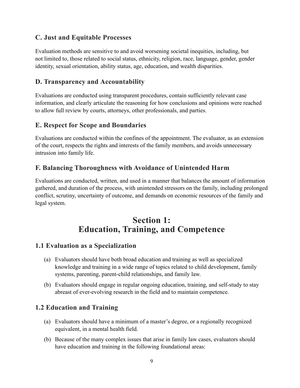#### **C. Just and Equitable Processes**

Evaluation methods are sensitive to and avoid worsening societal inequities, including, but not limited to, those related to social status, ethnicity, religion, race, language, gender, gender identity, sexual orientation, ability status, age, education, and wealth disparities.

#### **D. Transparency and Accountability**

Evaluations are conducted using transparent procedures, contain sufficiently relevant case information, and clearly articulate the reasoning for how conclusions and opinions were reached to allow full review by courts, attorneys, other professionals, and parties.

#### **E. Respect for Scope and Boundaries**

Evaluations are conducted within the confines of the appointment. The evaluator, as an extension of the court, respects the rights and interests of the family members, and avoids unnecessary intrusion into family life.

#### **F. Balancing Thoroughness with Avoidance of Unintended Harm**

Evaluations are conducted, written, and used in a manner that balances the amount of information gathered, and duration of the process, with unintended stressors on the family, including prolonged conflict, scrutiny, uncertainty of outcome, and demands on economic resources of the family and legal system.

## **Section 1: Education, Training, and Competence**

#### **1.1 Evaluation as a Specialization**

- (a) Evaluators should have both broad education and training as well as specialized knowledge and training in a wide range of topics related to child development, family systems, parenting, parent-child relationships, and family law.
- (b) Evaluators should engage in regular ongoing education, training, and self-study to stay abreast of ever-evolving research in the field and to maintain competence.

#### **1.2 Education and Training**

- (a) Evaluators should have a minimum of a master's degree, or a regionally recognized equivalent, in a mental health field.
- (b) Because of the many complex issues that arise in family law cases, evaluators should have education and training in the following foundational areas: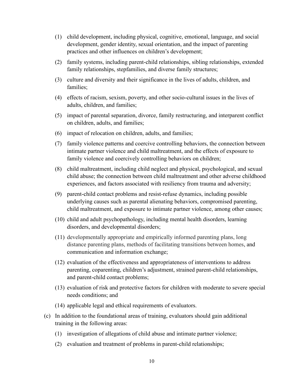- (1) child development, including physical, cognitive, emotional, language, and social development, gender identity, sexual orientation, and the impact of parenting practices and other influences on children's development;
- (2) family systems, including parent-child relationships, sibling relationships, extended family relationships, stepfamilies, and diverse family structures;
- (3) culture and diversity and their significance in the lives of adults, children, and families;
- (4) effects of racism, sexism, poverty, and other socio-cultural issues in the lives of adults, children, and families;
- (5) impact of parental separation, divorce, family restructuring, and interparent conflict on children, adults, and families;
- (6) impact of relocation on children, adults, and families;
- (7) family violence patterns and coercive controlling behaviors, the connection between intimate partner violence and child maltreatment, and the effects of exposure to family violence and coercively controlling behaviors on children;
- (8) child maltreatment, including child neglect and physical, psychological, and sexual child abuse; the connection between child maltreatment and other adverse childhood experiences, and factors associated with resiliency from trauma and adversity;
- (9) parent-child contact problems and resist-refuse dynamics, including possible underlying causes such as parental alienating behaviors, compromised parenting, child maltreatment, and exposure to intimate partner violence, among other causes;
- (10) child and adult psychopathology, including mental health disorders, learning disorders, and developmental disorders;
- (11) developmentally appropriate and empirically informed parenting plans, long distance parenting plans, methods of facilitating transitions between homes, and communication and information exchange;
- (12) evaluation of the effectiveness and appropriateness of interventions to address parenting, coparenting, children's adjustment, strained parent-child relationships, and parent-child contact problems;
- (13) evaluation of risk and protective factors for children with moderate to severe special needs conditions; and
- (14) applicable legal and ethical requirements of evaluators.
- (c) In addition to the foundational areas of training, evaluators should gain additional training in the following areas:
	- (1) investigation of allegations of child abuse and intimate partner violence;
	- (2) evaluation and treatment of problems in parent-child relationships;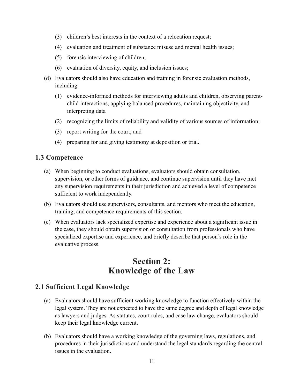- (3) children's best interests in the context of a relocation request;
- (4) evaluation and treatment of substance misuse and mental health issues;
- (5) forensic interviewing of children;
- (6) evaluation of diversity, equity, and inclusion issues;
- (d) Evaluators should also have education and training in forensic evaluation methods, including:
	- (1) evidence-informed methods for interviewing adults and children, observing parentchild interactions, applying balanced procedures, maintaining objectivity, and interpreting data
	- (2) recognizing the limits of reliability and validity of various sources of information;
	- (3) report writing for the court; and
	- (4) preparing for and giving testimony at deposition or trial.

#### **1.3 Competence**

- (a) When beginning to conduct evaluations, evaluators should obtain consultation, supervision, or other forms of guidance, and continue supervision until they have met any supervision requirements in their jurisdiction and achieved a level of competence sufficient to work independently.
- (b) Evaluators should use supervisors, consultants, and mentors who meet the education, training, and competence requirements of this section.
- (c) When evaluators lack specialized expertise and experience about a significant issue in the case, they should obtain supervision or consultation from professionals who have specialized expertise and experience, and briefly describe that person's role in the evaluative process.

## **Section 2: Knowledge of the Law**

#### **2.1 Sufficient Legal Knowledge**

- (a) Evaluators should have sufficient working knowledge to function effectively within the legal system. They are not expected to have the same degree and depth of legal knowledge as lawyers and judges. As statutes, court rules, and case law change, evaluators should keep their legal knowledge current.
- (b) Evaluators should have a working knowledge of the governing laws, regulations, and procedures in their jurisdictions and understand the legal standards regarding the central issues in the evaluation.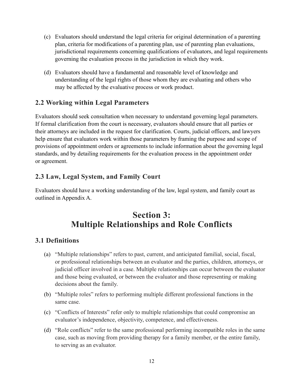- (c) Evaluators should understand the legal criteria for original determination of a parenting plan, criteria for modifications of a parenting plan, use of parenting plan evaluations, jurisdictional requirements concerning qualifications of evaluators, and legal requirements governing the evaluation process in the jurisdiction in which they work.
- (d) Evaluators should have a fundamental and reasonable level of knowledge and understanding of the legal rights of those whom they are evaluating and others who may be affected by the evaluative process or work product.

#### **2.2 Working within Legal Parameters**

Evaluators should seek consultation when necessary to understand governing legal parameters. If formal clarification from the court is necessary, evaluators should ensure that all parties or their attorneys are included in the request for clarification. Courts, judicial officers, and lawyers help ensure that evaluators work within those parameters by framing the purpose and scope of provisions of appointment orders or agreements to include information about the governing legal standards, and by detailing requirements for the evaluation process in the appointment order or agreement.

#### **2.3 Law, Legal System, and Family Court**

Evaluators should have a working understanding of the law, legal system, and family court as outlined in Appendix A.

## **Section 3: Multiple Relationships and Role Conflicts**

#### **3.1 Definitions**

- (a) "Multiple relationships" refers to past, current, and anticipated familial, social, fiscal, or professional relationships between an evaluator and the parties, children, attorneys, or judicial officer involved in a case. Multiple relationships can occur between the evaluator and those being evaluated, or between the evaluator and those representing or making decisions about the family.
- (b) "Multiple roles" refers to performing multiple different professional functions in the same case.
- (c) "Conflicts of Interests" refer only to multiple relationships that could compromise an evaluator's independence, objectivity, competence, and effectiveness.
- (d) "Role conflicts" refer to the same professional performing incompatible roles in the same case, such as moving from providing therapy for a family member, or the entire family, to serving as an evaluator.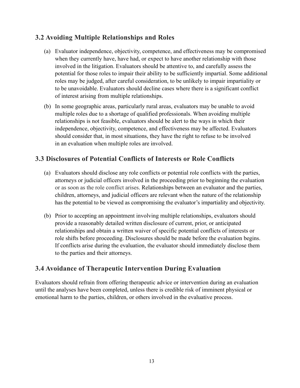#### **3.2 Avoiding Multiple Relationships and Roles**

- (a) Evaluator independence, objectivity, competence, and effectiveness may be compromised when they currently have, have had, or expect to have another relationship with those involved in the litigation. Evaluators should be attentive to, and carefully assess the potential for those roles to impair their ability to be sufficiently impartial. Some additional roles may be judged, after careful consideration, to be unlikely to impair impartiality or to be unavoidable. Evaluators should decline cases where there is a significant conflict of interest arising from multiple relationships.
- (b) In some geographic areas, particularly rural areas, evaluators may be unable to avoid multiple roles due to a shortage of qualified professionals. When avoiding multiple relationships is not feasible, evaluators should be alert to the ways in which their independence, objectivity, competence, and effectiveness may be affected. Evaluators should consider that, in most situations, they have the right to refuse to be involved in an evaluation when multiple roles are involved.

#### **3.3 Disclosures of Potential Conflicts of Interests or Role Conflicts**

- (a) Evaluators should disclose any role conflicts or potential role conflicts with the parties, attorneys or judicial officers involved in the proceeding prior to beginning the evaluation or as soon as the role conflict arises. Relationships between an evaluator and the parties, children, attorneys, and judicial officers are relevant when the nature of the relationship has the potential to be viewed as compromising the evaluator's impartiality and objectivity.
- (b) Prior to accepting an appointment involving multiple relationships, evaluators should provide a reasonably detailed written disclosure of current, prior, or anticipated relationships and obtain a written waiver of specific potential conflicts of interests or role shifts before proceeding. Disclosures should be made before the evaluation begins. If conflicts arise during the evaluation, the evaluator should immediately disclose them to the parties and their attorneys.

#### **3.4 Avoidance of Therapeutic Intervention During Evaluation**

Evaluators should refrain from offering therapeutic advice or intervention during an evaluation until the analyses have been completed, unless there is credible risk of imminent physical or emotional harm to the parties, children, or others involved in the evaluative process.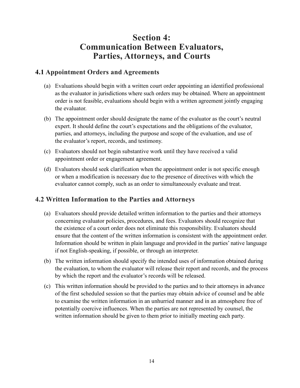## **Section 4: Communication Between Evaluators, Parties, Attorneys, and Courts**

#### **4.1 Appointment Orders and Agreements**

- (a) Evaluations should begin with a written court order appointing an identified professional as the evaluator in jurisdictions where such orders may be obtained. Where an appointment order is not feasible, evaluations should begin with a written agreement jointly engaging the evaluator.
- (b) The appointment order should designate the name of the evaluator as the court's neutral expert. It should define the court's expectations and the obligations of the evaluator, parties, and attorneys, including the purpose and scope of the evaluation, and use of the evaluator's report, records, and testimony.
- (c) Evaluators should not begin substantive work until they have received a valid appointment order or engagement agreement.
- (d) Evaluators should seek clarification when the appointment order is not specific enough or when a modification is necessary due to the presence of directives with which the evaluator cannot comply, such as an order to simultaneously evaluate and treat.

#### **4.2 Written Information to the Parties and Attorneys**

- (a) Evaluators should provide detailed written information to the parties and their attorneys concerning evaluator policies, procedures, and fees. Evaluators should recognize that the existence of a court order does not eliminate this responsibility. Evaluators should ensure that the content of the written information is consistent with the appointment order. Information should be written in plain language and provided in the parties' native language if not English-speaking, if possible, or through an interpreter.
- (b) The written information should specify the intended uses of information obtained during the evaluation, to whom the evaluator will release their report and records, and the process by which the report and the evaluator's records will be released.
- (c) This written information should be provided to the parties and to their attorneys in advance of the first scheduled session so that the parties may obtain advice of counsel and be able to examine the written information in an unhurried manner and in an atmosphere free of potentially coercive influences. When the parties are not represented by counsel, the written information should be given to them prior to initially meeting each party.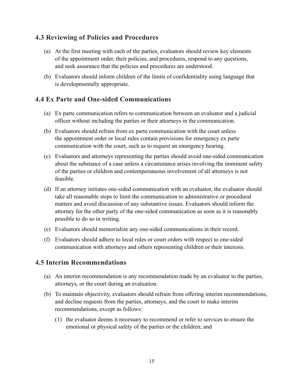#### **4.3 Reviewing of Policies and Procedures**

- (a) At the first meeting with each of the parties, evaluators should review key elements of the appointment order, their policies, and procedures, respond to any questions, and seek assurance that the policies and procedures are understood.
- (b) Evaluators should inform children of the limits of confidentiality using language that is developmentally appropriate.

#### **4.4 Ex Parte and One-sided Communications**

- (a) Ex parte communication refers to communication between an evaluator and a judicial officer without including the parties or their attorneys in the communication.
- (b) Evaluators should refrain from ex parte communication with the court unless the appointment order or local rules contain provisions for emergency ex parte communication with the court, such as to request an emergency hearing.
- (c) Evaluators and attorneys representing the parties should avoid one-sided communication about the substance of a case unless a circumstance arises involving the imminent safety of the parties or children and contemporaneous involvement of all attorneys is not feasible.
- (d) If an attorney initiates one-sided communication with an evaluator, the evaluator should take all reasonable steps to limit the communication to administrative or procedural matters and avoid discussion of any substantive issues. Evaluators should inform the attorney for the other party of the one-sided communication as soon as it is reasonably possible to do so in writing.
- (e) Evaluators should memorialize any one-sided communications in their record.
- (f) Evaluators should adhere to local rules or court orders with respect to one-sided communication with attorneys and others representing children or their interests.

#### **4.5 Interim Recommendations**

- (a) An interim recommendation is any recommendation made by an evaluator to the parties, attorneys, or the court during an evaluation.
- (b) To maintain objectivity, evaluators should refrain from offering interim recommendations, and decline requests from the parties, attorneys, and the court to make interim recommendations, except as follows:
	- (1) the evaluator deems it necessary to recommend or refer to services to ensure the emotional or physical safety of the parties or the children; and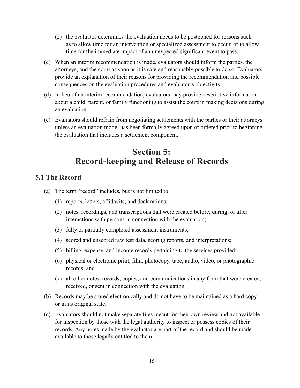- (2) the evaluator determines the evaluation needs to be postponed for reasons such as to allow time for an intervention or specialized assessment to occur, or to allow time for the immediate impact of an unexpected significant event to pass.
- (c) When an interim recommendation is made, evaluators should inform the parties, the attorneys, and the court as soon as it is safe and reasonably possible to do so. Evaluators provide an explanation of their reasons for providing the recommendation and possible consequences on the evaluation procedures and evaluator's objectivity.
- (d) In lieu of an interim recommendation, evaluators may provide descriptive information about a child, parent, or family functioning to assist the court in making decisions during an evaluation.
- (e) Evaluators should refrain from negotiating settlements with the parties or their attorneys unless an evaluation model has been formally agreed upon or ordered prior to beginning the evaluation that includes a settlement component.

## **Section 5: Record-keeping and Release of Records**

#### **5.1 The Record**

- (a) The term "record" includes, but is not limited to:
	- (1) reports, letters, affidavits, and declarations;
	- (2) notes, recordings, and transcriptions that were created before, during, or after interactions with persons in connection with the evaluation;
	- (3) fully or partially completed assessment instruments;
	- (4) scored and unscored raw test data, scoring reports, and interpretations;
	- (5) billing, expense, and income records pertaining to the services provided;
	- (6) physical or electronic print, film, photocopy, tape, audio, video, or photographic records; and
	- (7) all other notes, records, copies, and communications in any form that were created, received, or sent in connection with the evaluation.
- (b) Records may be stored electronically and do not have to be maintained as a hard copy or in its original state.
- (c) Evaluators should not make separate files meant for their own review and not available for inspection by those with the legal authority to inspect or possess copies of their records. Any notes made by the evaluator are part of the record and should be made available to those legally entitled to them.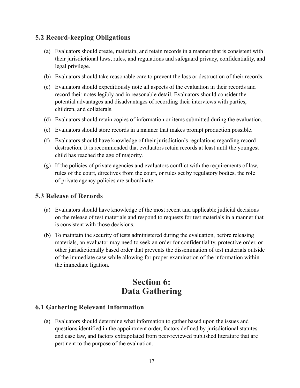#### **5.2 Record-keeping Obligations**

- (a) Evaluators should create, maintain, and retain records in a manner that is consistent with their jurisdictional laws, rules, and regulations and safeguard privacy, confidentiality, and legal privilege.
- (b) Evaluators should take reasonable care to prevent the loss or destruction of their records.
- (c) Evaluators should expeditiously note all aspects of the evaluation in their records and record their notes legibly and in reasonable detail. Evaluators should consider the potential advantages and disadvantages of recording their interviews with parties, children, and collaterals.
- (d) Evaluators should retain copies of information or items submitted during the evaluation.
- (e) Evaluators should store records in a manner that makes prompt production possible.
- (f) Evaluators should have knowledge of their jurisdiction's regulations regarding record destruction. It is recommended that evaluators retain records at least until the youngest child has reached the age of majority.
- $(g)$  If the policies of private agencies and evaluators conflict with the requirements of law, rules of the court, directives from the court, or rules set by regulatory bodies, the role of private agency policies are subordinate.

#### **5.3 Release of Records**

- (a) Evaluators should have knowledge of the most recent and applicable judicial decisions on the release of test materials and respond to requests for test materials in a manner that is consistent with those decisions.
- (b) To maintain the security of tests administered during the evaluation, before releasing materials, an evaluator may need to seek an order for confidentiality, protective order, or other jurisdictionally based order that prevents the dissemination of test materials outside of the immediate case while allowing for proper examination of the information within the immediate ligation.

## **Section 6: Data Gathering**

#### **6.1 Gathering Relevant Information**

(a) Evaluators should determine what information to gather based upon the issues and questions identified in the appointment order, factors defined by jurisdictional statutes and case law, and factors extrapolated from peer-reviewed published literature that are pertinent to the purpose of the evaluation.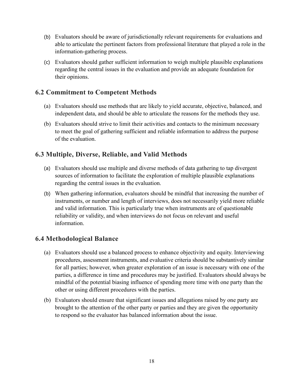- (b) Evaluators should be aware of jurisdictionally relevant requirements for evaluations and able to articulate the pertinent factors from professional literature that played a role in the information-gathering process.
- (c) Evaluators should gather sufficient information to weigh multiple plausible explanations regarding the central issues in the evaluation and provide an adequate foundation for their opinions.

#### **6.2 Commitment to Competent Methods**

- (a) Evaluators should use methods that are likely to yield accurate, objective, balanced, and independent data, and should be able to articulate the reasons for the methods they use.
- (b) Evaluators should strive to limit their activities and contacts to the minimum necessary to meet the goal of gathering sufficient and reliable information to address the purpose of the evaluation.

#### **6.3 Multiple, Diverse, Reliable, and Valid Methods**

- (a) Evaluators should use multiple and diverse methods of data gathering to tap divergent sources of information to facilitate the exploration of multiple plausible explanations regarding the central issues in the evaluation.
- (b) When gathering information, evaluators should be mindful that increasing the number of instruments, or number and length of interviews, does not necessarily yield more reliable and valid information. This is particularly true when instruments are of questionable reliability or validity, and when interviews do not focus on relevant and useful information.

#### **6.4 Methodological Balance**

- (a) Evaluators should use a balanced process to enhance objectivity and equity. Interviewing procedures, assessment instruments, and evaluative criteria should be substantively similar for all parties; however, when greater exploration of an issue is necessary with one of the parties, a difference in time and procedures may be justified. Evaluators should always be mindful of the potential biasing influence of spending more time with one party than the other or using different procedures with the parties.
- (b) Evaluators should ensure that significant issues and allegations raised by one party are brought to the attention of the other party or parties and they are given the opportunity to respond so the evaluator has balanced information about the issue.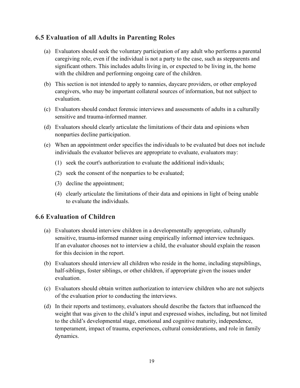#### **6.5 Evaluation of all Adults in Parenting Roles**

- (a) Evaluators should seek the voluntary participation of any adult who performs a parental caregiving role, even if the individual is not a party to the case, such as stepparents and significant others. This includes adults living in, or expected to be living in, the home with the children and performing ongoing care of the children.
- (b) This section is not intended to apply to nannies, daycare providers, or other employed caregivers, who may be important collateral sources of information, but not subject to evaluation.
- (c) Evaluators should conduct forensic interviews and assessments of adults in a culturally sensitive and trauma-informed manner.
- (d) Evaluators should clearly articulate the limitations of their data and opinions when nonparties decline participation.
- (e) When an appointment order specifies the individuals to be evaluated but does not include individuals the evaluator believes are appropriate to evaluate, evaluators may:
	- (1) seek the court's authorization to evaluate the additional individuals;
	- (2) seek the consent of the nonparties to be evaluated;
	- (3) decline the appointment;
	- (4) clearly articulate the limitations of their data and opinions in light of being unable to evaluate the individuals.

#### **6.6 Evaluation of Children**

- (a) Evaluators should interview children in a developmentally appropriate, culturally sensitive, trauma-informed manner using empirically informed interview techniques. If an evaluator chooses not to interview a child, the evaluator should explain the reason for this decision in the report.
- (b) Evaluators should interview all children who reside in the home, including stepsiblings, half-siblings, foster siblings, or other children, if appropriate given the issues under evaluation.
- (c) Evaluators should obtain written authorization to interview children who are not subjects of the evaluation prior to conducting the interviews.
- (d) In their reports and testimony, evaluators should describe the factors that influenced the weight that was given to the child's input and expressed wishes, including, but not limited to the child's developmental stage, emotional and cognitive maturity, independence, temperament, impact of trauma, experiences, cultural considerations, and role in family dynamics.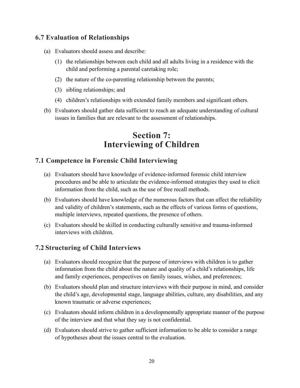#### **6.7 Evaluation of Relationships**

- (a) Evaluators should assess and describe:
	- (1) the relationships between each child and all adults living in a residence with the child and performing a parental caretaking role;
	- (2) the nature of the co-parenting relationship between the parents;
	- (3) sibling relationships; and
	- (4) children's relationships with extended family members and significant others.
- (b) Evaluators should gather data sufficient to reach an adequate understanding of cultural issues in families that are relevant to the assessment of relationships.

## **Section 7: Interviewing of Children**

#### **7.1 Competence in Forensic Child Interviewing**

- (a) Evaluators should have knowledge of evidence-informed forensic child interview procedures and be able to articulate the evidence-informed strategies they used to elicit information from the child, such as the use of free recall methods.
- (b) Evaluators should have knowledge of the numerous factors that can affect the reliability and validity of children's statements, such as the effects of various forms of questions, multiple interviews, repeated questions, the presence of others.
- (c) Evaluators should be skilled in conducting culturally sensitive and trauma-informed interviews with children.

#### **7.2 Structuring of Child Interviews**

- (a) Evaluators should recognize that the purpose of interviews with children is to gather information from the child about the nature and quality of a child's relationships, life and family experiences, perspectives on family issues, wishes, and preferences;
- (b) Evaluators should plan and structure interviews with their purpose in mind, and consider the child's age, developmental stage, language abilities, culture, any disabilities, and any known traumatic or adverse experiences;
- (c) Evaluators should inform children in a developmentally appropriate manner of the purpose of the interview and that what they say is not confidential.
- (d) Evaluators should strive to gather sufficient information to be able to consider a range of hypotheses about the issues central to the evaluation.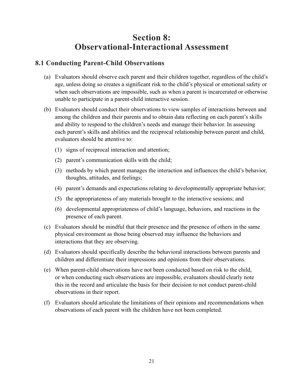## **Section 8: Observational-Interactional Assessment**

#### **8.1 Conducting Parent-Child Observations**

- (a) Evaluators should observe each parent and their children together, regardless of the child's age, unless doing so creates a significant risk to the child's physical or emotional safety or when such observations are impossible, such as when a parent is incarcerated or otherwise unable to participate in a parent-child interactive session.
- (b) Evaluators should conduct their observations to view samples of interactions between and among the children and their parents and to obtain data reflecting on each parent's skills and ability to respond to the children's needs and manage their behavior. In assessing each parent's skills and abilities and the reciprocal relationship between parent and child, evaluators should be attentive to:
	- (1) signs of reciprocal interaction and attention;
	- (2) parent's communication skills with the child;
	- (3) methods by which parent manages the interaction and influences the child's behavior, thoughts, attitudes, and feelings;
	- (4) parent's demands and expectations relating to developmentally appropriate behavior;
	- (5) the appropriateness of any materials brought to the interactive sessions; and
	- (6) developmental appropriateness of child's language, behaviors, and reactions in the presence of each parent.
- (c) Evaluators should be mindful that their presence and the presence of others in the same physical environment as those being observed may influence the behaviors and interactions that they are observing.
- (d) Evaluators should specifically describe the behavioral interactions between parents and children and differentiate their impressions and opinions from their observations.
- (e) When parent-child observations have not been conducted based on risk to the child, or when conducting such observations are impossible, evaluators should clearly note this in the record and articulate the basis for their decision to not conduct parent-child observations in their report.
- (f) Evaluators should articulate the limitations of their opinions and recommendations when observations of each parent with the children have not been completed.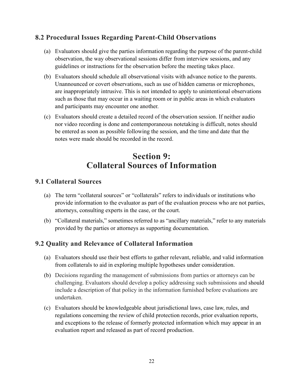#### **8.2 Procedural Issues Regarding Parent-Child Observations**

- (a) Evaluators should give the parties information regarding the purpose of the parent-child observation, the way observational sessions differ from interview sessions, and any guidelines or instructions for the observation before the meeting takes place.
- (b) Evaluators should schedule all observational visits with advance notice to the parents. Unannounced or covert observations, such as use of hidden cameras or microphones, are inappropriately intrusive. This is not intended to apply to unintentional observations such as those that may occur in a waiting room or in public areas in which evaluators and participants may encounter one another.
- (c) Evaluators should create a detailed record of the observation session. If neither audio nor video recording is done and contemporaneous notetaking is difficult, notes should be entered as soon as possible following the session, and the time and date that the notes were made should be recorded in the record.

## **Section 9: Collateral Sources of Information**

#### **9.1 Collateral Sources**

- (a) The term "collateral sources" or "collaterals" refers to individuals or institutions who provide information to the evaluator as part of the evaluation process who are not parties, attorneys, consulting experts in the case, or the court.
- (b) "Collateral materials," sometimes referred to as "ancillary materials," refer to any materials provided by the parties or attorneys as supporting documentation.

#### **9.2 Quality and Relevance of Collateral Information**

- (a) Evaluators should use their best efforts to gather relevant, reliable, and valid information from collaterals to aid in exploring multiple hypotheses under consideration.
- (b) Decisions regarding the management of submissions from parties or attorneys can be challenging. Evaluators should develop a policy addressing such submissions and should include a description of that policy in the information furnished before evaluations are undertaken.
- (c) Evaluators should be knowledgeable about jurisdictional laws, case law, rules, and regulations concerning the review of child protection records, prior evaluation reports, and exceptions to the release of formerly protected information which may appear in an evaluation report and released as part of record production.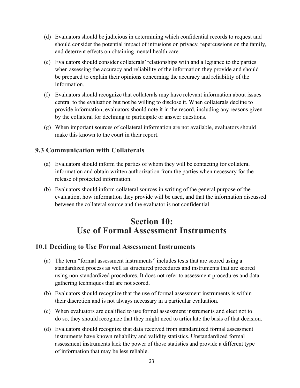- (d) Evaluators should be judicious in determining which confidential records to request and should consider the potential impact of intrusions on privacy, repercussions on the family, and deterrent effects on obtaining mental health care.
- (e) Evaluators should consider collaterals' relationships with and allegiance to the parties when assessing the accuracy and reliability of the information they provide and should be prepared to explain their opinions concerning the accuracy and reliability of the information.
- (f) Evaluators should recognize that collaterals may have relevant information about issues central to the evaluation but not be willing to disclose it. When collaterals decline to provide information, evaluators should note it in the record, including any reasons given by the collateral for declining to participate or answer questions.
- (g) When important sources of collateral information are not available, evaluators should make this known to the court in their report.

#### **9.3 Communication with Collaterals**

- (a) Evaluators should inform the parties of whom they will be contacting for collateral information and obtain written authorization from the parties when necessary for the release of protected information.
- (b) Evaluators should inform collateral sources in writing of the general purpose of the evaluation, how information they provide will be used, and that the information discussed between the collateral source and the evaluator is not confidential.

## **Section 10: Use of Formal Assessment Instruments**

#### **10.1 Deciding to Use Formal Assessment Instruments**

- (a) The term "formal assessment instruments" includes tests that are scored using a standardized process as well as structured procedures and instruments that are scored using non-standardized procedures. It does not refer to assessment procedures and datagathering techniques that are not scored.
- (b) Evaluators should recognize that the use of formal assessment instruments is within their discretion and is not always necessary in a particular evaluation.
- (c) When evaluators are qualified to use formal assessment instruments and elect not to do so, they should recognize that they might need to articulate the basis of that decision.
- (d) Evaluators should recognize that data received from standardized formal assessment instruments have known reliability and validity statistics. Unstandardized formal assessment instruments lack the power of those statistics and provide a different type of information that may be less reliable.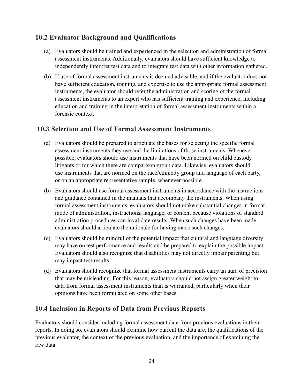#### **10.2 Evaluator Background and Qualifications**

- (a) Evaluators should be trained and experienced in the selection and administration of formal assessment instruments. Additionally, evaluators should have sufficient knowledge to independently interpret test data and to integrate test data with other information gathered.
- (b) If use of formal assessment instruments is deemed advisable, and if the evaluator does not have sufficient education, training, and expertise to use the appropriate formal assessment instruments, the evaluator should refer the administration and scoring of the formal assessment instruments to an expert who has sufficient training and experience, including education and training in the interpretation of formal assessment instruments within a forensic context.

#### **10.3 Selection and Use of Formal Assessment Instruments**

- (a) Evaluators should be prepared to articulate the bases for selecting the specific formal assessment instruments they use and the limitations of those instruments. Whenever possible, evaluators should use instruments that have been normed on child custody litigants or for which there are comparison group data. Likewise, evaluators should use instruments that are normed on the race/ethnicity group and language of each party, or on an appropriate representative sample, whenever possible.
- (b) Evaluators should use formal assessment instruments in accordance with the instructions and guidance contained in the manuals that accompany the instruments. When using formal assessment instruments, evaluators should not make substantial changes in format, mode of administration, instructions, language, or content because violations of standard administration procedures can invalidate results. When such changes have been made, evaluators should articulate the rationale for having made such changes.
- (c) Evaluators should be mindful of the potential impact that cultural and language diversity may have on test performance and results and be prepared to explain the possible impact. Evaluators should also recognize that disabilities may not directly impair parenting but may impact test results.
- (d) Evaluators should recognize that formal assessment instruments carry an aura of precision that may be misleading. For this reason, evaluators should not assign greater weight to data from formal assessment instruments than is warranted, particularly when their opinions have been formulated on some other bases.

#### **10.4 Inclusion in Reports of Data from Previous Reports**

Evaluators should consider including formal assessment data from previous evaluations in their reports. In doing so, evaluators should examine how current the data are, the qualifications of the previous evaluator, the context of the previous evaluation, and the importance of examining the raw data.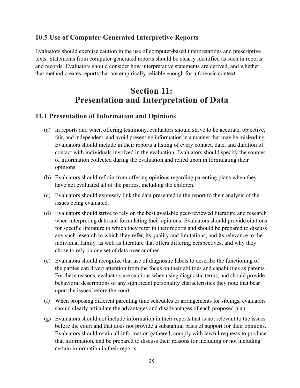#### **10.5 Use of Computer-Generated Interpretive Reports**

Evaluators should exercise caution in the use of computer-based interpretations and prescriptive texts. Statements from computer-generated reports should be clearly identified as such in reports and records. Evaluators should consider how interpretative statements are derived, and whether that method creates reports that are empirically reliable enough for a forensic context*.*

## **Section 11: Presentation and Interpretation of Data**

#### **11.1 Presentation of Information and Opinions**

- (a) In reports and when offering testimony, evaluators should strive to be accurate, objective, fair, and independent, and avoid presenting information in a manner that may be misleading. Evaluators should include in their reports a listing of every contact, date, and duration of contact with individuals involved in the evaluation. Evaluators should specify the sources of information collected during the evaluation and relied upon in formulating their opinions.
- (b) Evaluators should refrain from offering opinions regarding parenting plans when they have not evaluated all of the parties, including the children.
- (c) Evaluators should expressly link the data presented in the report to their analysis of the issues being evaluated.
- (d) Evaluators should strive to rely on the best available peer-reviewed literature and research when interpreting data and formulating their opinions. Evaluators should provide citations for specific literature to which they refer in their reports and should be prepared to discuss any such research to which they refer, its quality and limitations, and its relevance to the individual family, as well as literature that offers differing perspectives, and why they chose to rely on one set of data over another.
- (e) Evaluators should recognize that use of diagnostic labels to describe the functioning of the parties can divert attention from the focus on their abilities and capabilities as parents. For these reasons, evaluators are cautious when using diagnostic terms, and should provide behavioral descriptions of any significant personality characteristics they note that bear upon the issues before the court.
- (f) When proposing different parenting time schedules or arrangements for siblings, evaluators should clearly articulate the advantages and disadvantages of each proposed plan.
- (g) Evaluators should not include information in their reports that is not relevant to the issues before the court and that does not provide a substantial basis of support for their opinions. Evaluators should retain all information gathered, comply with lawful requests to produce that information, and be prepared to discuss their reasons for including or not including certain information in their reports.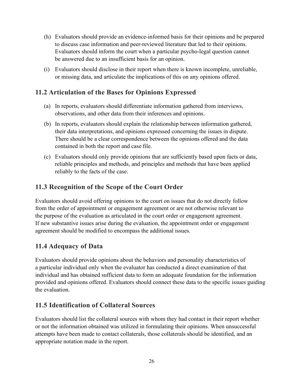- (h) Evaluators should provide an evidence-informed basis for their opinions and be prepared to discuss case information and peer-reviewed literature that led to their opinions. Evaluators should inform the court when a particular psycho-legal question cannot be answered due to an insufficient basis for an opinion.
- (i) Evaluators should disclose in their report when there is known incomplete, unreliable, or missing data, and articulate the implications of this on any opinions offered.

#### **11.2 Articulation of the Bases for Opinions Expressed**

- (a) In reports, evaluators should differentiate information gathered from interviews, observations, and other data from their inferences and opinions.
- (b) In reports, evaluators should explain the relationship between information gathered, their data interpretations, and opinions expressed concerning the issues in dispute. There should be a clear correspondence between the opinions offered and the data contained in both the report and case file.
- (c) Evaluators should only provide opinions that are sufficiently based upon facts or data, reliable principles and methods, and principles and methods that have been applied reliably to the facts of the case.

#### **11.3 Recognition of the Scope of the Court Order**

Evaluators should avoid offering opinions to the court on issues that do not directly follow from the order of appointment or engagement agreement or are not otherwise relevant to the purpose of the evaluation as articulated in the court order or engagement agreement. If new substantive issues arise during the evaluation, the appointment order or engagement agreement should be modified to encompass the additional issues.

#### **11.4 Adequacy of Data**

Evaluators should provide opinions about the behaviors and personality characteristics of a particular individual only when the evaluator has conducted a direct examination of that individual and has obtained sufficient data to form an adequate foundation for the information provided and opinions offered. Evaluators should connect these data to the specific issues guiding the evaluation.

#### **11.5 Identification of Collateral Sources**

Evaluators should list the collateral sources with whom they had contact in their report whether or not the information obtained was utilized in formulating their opinions. When unsuccessful attempts have been made to contact collaterals, those collaterals should be identified, and an appropriate notation made in the report.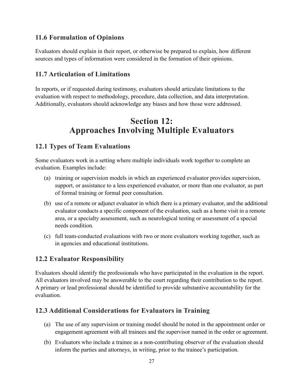#### **11.6 Formulation of Opinions**

Evaluators should explain in their report, or otherwise be prepared to explain, how different sources and types of information were considered in the formation of their opinions.

#### **11.7 Articulation of Limitations**

In reports, or if requested during testimony, evaluators should articulate limitations to the evaluation with respect to methodology, procedure, data collection, and data interpretation. Additionally, evaluators should acknowledge any biases and how those were addressed.

## **Section 12: Approaches Involving Multiple Evaluators**

#### **12.1 Types of Team Evaluations**

Some evaluators work in a setting where multiple individuals work together to complete an evaluation. Examples include:

- (a) training or supervision models in which an experienced evaluator provides supervision, support, or assistance to a less experienced evaluator, or more than one evaluator, as part of formal training or formal peer consultation.
- (b) use of a remote or adjunct evaluator in which there is a primary evaluator, and the additional evaluator conducts a specific component of the evaluation, such as a home visit in a remote area, or a specialty assessment, such as neurological testing or assessment of a special needs condition.
- (c) full team-conducted evaluations with two or more evaluators working together, such as in agencies and educational institutions.

#### **12.2 Evaluator Responsibility**

Evaluators should identify the professionals who have participated in the evaluation in the report. All evaluators involved may be answerable to the court regarding their contribution to the report. A primary or lead professional should be identified to provide substantive accountability for the evaluation.

#### **12.3 Additional Considerations for Evaluators in Training**

- (a) The use of any supervision or training model should be noted in the appointment order or engagement agreement with all trainees and the supervisor named in the order or agreement.
- (b) Evaluators who include a trainee as a non-contributing observer of the evaluation should inform the parties and attorneys, in writing, prior to the trainee's participation.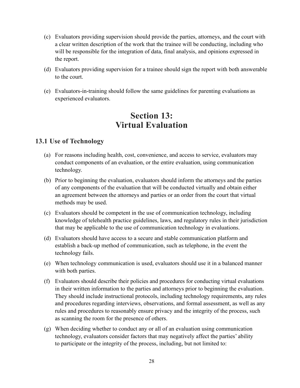- (c) Evaluators providing supervision should provide the parties, attorneys, and the court with a clear written description of the work that the trainee will be conducting, including who will be responsible for the integration of data, final analysis, and opinions expressed in the report.
- (d) Evaluators providing supervision for a trainee should sign the report with both answerable to the court.
- (e) Evaluators-in-training should follow the same guidelines for parenting evaluations as experienced evaluators.

### **Section 13: Virtual Evaluation**

#### **13.1 Use of Technology**

- (a) For reasons including health, cost, convenience, and access to service, evaluators may conduct components of an evaluation, or the entire evaluation, using communication technology.
- (b) Prior to beginning the evaluation, evaluators should inform the attorneys and the parties of any components of the evaluation that will be conducted virtually and obtain either an agreement between the attorneys and parties or an order from the court that virtual methods may be used.
- (c) Evaluators should be competent in the use of communication technology, including knowledge of telehealth practice guidelines, laws, and regulatory rules in their jurisdiction that may be applicable to the use of communication technology in evaluations.
- (d) Evaluators should have access to a secure and stable communication platform and establish a back-up method of communication, such as telephone, in the event the technology fails.
- (e) When technology communication is used, evaluators should use it in a balanced manner with both parties.
- (f) Evaluators should describe their policies and procedures for conducting virtual evaluations in their written information to the parties and attorneys prior to beginning the evaluation. They should include instructional protocols, including technology requirements, any rules and procedures regarding interviews, observations, and formal assessment, as well as any rules and procedures to reasonably ensure privacy and the integrity of the process, such as scanning the room for the presence of others.
- (g) When deciding whether to conduct any or all of an evaluation using communication technology, evaluators consider factors that may negatively affect the parties' ability to participate or the integrity of the process, including, but not limited to: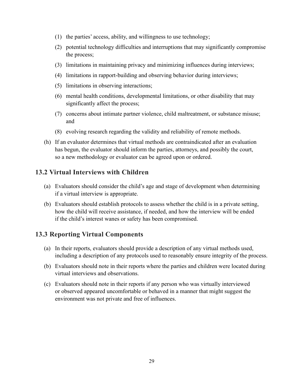- (1) the parties' access, ability, and willingness to use technology;
- (2) potential technology difficulties and interruptions that may significantly compromise the process;
- (3) limitations in maintaining privacy and minimizing influences during interviews;
- (4) limitations in rapport-building and observing behavior during interviews;
- (5) limitations in observing interactions;
- (6) mental health conditions, developmental limitations, or other disability that may significantly affect the process;
- (7) concerns about intimate partner violence, child maltreatment, or substance misuse; and
- (8) evolving research regarding the validity and reliability of remote methods.
- (h) If an evaluator determines that virtual methods are contraindicated after an evaluation has begun, the evaluator should inform the parties, attorneys, and possibly the court, so a new methodology or evaluator can be agreed upon or ordered.

#### **13.2 Virtual Interviews with Children**

- (a) Evaluators should consider the child's age and stage of development when determining if a virtual interview is appropriate.
- (b) Evaluators should establish protocols to assess whether the child is in a private setting, how the child will receive assistance, if needed, and how the interview will be ended if the child's interest wanes or safety has been compromised.

#### **13.3 Reporting Virtual Components**

- (a) In their reports, evaluators should provide a description of any virtual methods used, including a description of any protocols used to reasonably ensure integrity of the process.
- (b) Evaluators should note in their reports where the parties and children were located during virtual interviews and observations.
- (c) Evaluators should note in their reports if any person who was virtually interviewed or observed appeared uncomfortable or behaved in a manner that might suggest the environment was not private and free of influences.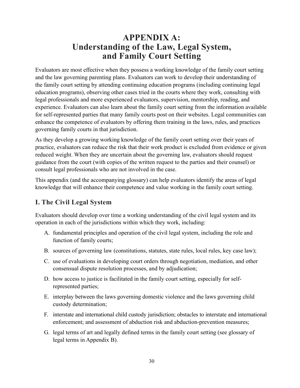## **APPENDIX A: Understanding of the Law, Legal System, and Family Court Setting**

Evaluators are most effective when they possess a working knowledge of the family court setting and the law governing parenting plans. Evaluators can work to develop their understanding of the family court setting by attending continuing education programs (including continuing legal education programs), observing other cases tried in the courts where they work, consulting with legal professionals and more experienced evaluators, supervision, mentorship, reading, and experience. Evaluators can also learn about the family court setting from the information available for self-represented parties that many family courts post on their websites. Legal communities can enhance the competence of evaluators by offering them training in the laws, rules, and practices governing family courts in that jurisdiction.

As they develop a growing working knowledge of the family court setting over their years of practice, evaluators can reduce the risk that their work product is excluded from evidence or given reduced weight. When they are uncertain about the governing law, evaluators should request guidance from the court (with copies of the written request to the parties and their counsel) or consult legal professionals who are not involved in the case.

This appendix (and the accompanying glossary) can help evaluators identify the areas of legal knowledge that will enhance their competence and value working in the family court setting.

#### **I. The Civil Legal System**

Evaluators should develop over time a working understanding of the civil legal system and its operation in each of the jurisdictions within which they work, including:

- A. fundamental principles and operation of the civil legal system, including the role and function of family courts;
- B. sources of governing law (constitutions, statutes, state rules, local rules, key case law);
- C. use of evaluations in developing court orders through negotiation, mediation, and other consensual dispute resolution processes, and by adjudication;
- D. how access to justice is facilitated in the family court setting, especially for selfrepresented parties;
- E. interplay between the laws governing domestic violence and the laws governing child custody determination;
- F. interstate and international child custody jurisdiction; obstacles to interstate and international enforcement; and assessment of abduction risk and abduction-prevention measures;
- G. legal terms of art and legally defined terms in the family court setting (see glossary of legal terms in Appendix B).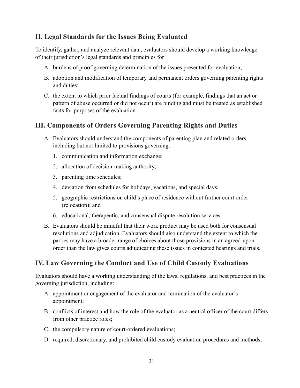#### **II. Legal Standards for the Issues Being Evaluated**

To identify, gather, and analyze relevant data, evaluators should develop a working knowledge of their jurisdiction's legal standards and principles for

- A. burdens of proof governing determination of the issues presented for evaluation;
- B. adoption and modification of temporary and permanent orders governing parenting rights and duties;
- C. the extent to which prior factual findings of courts (for example, findings that an act or pattern of abuse occurred or did not occur) are binding and must be treated as established facts for purposes of the evaluation.

#### **III. Components of Orders Governing Parenting Rights and Duties**

- A. Evaluators should understand the components of parenting plan and related orders, including but not limited to provisions governing:
	- 1. communication and information exchange;
	- 2. allocation of decision-making authority;
	- 3. parenting time schedules;
	- 4. deviation from schedules for holidays, vacations, and special days;
	- 5. geographic restrictions on child's place of residence without further court order (relocation); and
	- 6. educational, therapeutic, and consensual dispute resolution services.
- B. Evaluators should be mindful that their work product may be used both for consensual resolutions and adjudication. Evaluators should also understand the extent to which the parties may have a broader range of choices about those provisions in an agreed-upon order than the law gives courts adjudicating these issues in contested hearings and trials.

#### **IV. Law Governing the Conduct and Use of Child Custody Evaluations**

Evaluators should have a working understanding of the laws, regulations, and best practices in the governing jurisdiction, including:

- A. appointment or engagement of the evaluator and termination of the evaluator's appointment;
- B. conflicts of interest and how the role of the evaluator as a neutral officer of the court differs from other practice roles;
- C. the compulsory nature of court-ordered evaluations;
- D. required, discretionary, and prohibited child custody evaluation procedures and methods;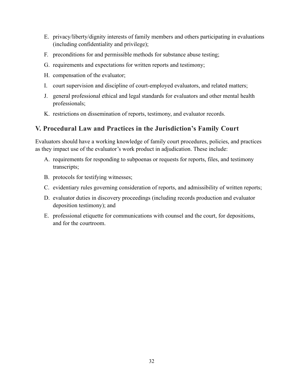- E. privacy/liberty/dignity interests of family members and others participating in evaluations (including confidentiality and privilege);
- F. preconditions for and permissible methods for substance abuse testing;
- G. requirements and expectations for written reports and testimony;
- H. compensation of the evaluator;
- I. court supervision and discipline of court-employed evaluators, and related matters;
- J. general professional ethical and legal standards for evaluators and other mental health professionals;
- K. restrictions on dissemination of reports, testimony, and evaluator records.

#### **V. Procedural Law and Practices in the Jurisdiction's Family Court**

Evaluators should have a working knowledge of family court procedures, policies, and practices as they impact use of the evaluator's work product in adjudication. These include:

- A. requirements for responding to subpoenas or requests for reports, files, and testimony transcripts;
- B. protocols for testifying witnesses;
- C. evidentiary rules governing consideration of reports, and admissibility of written reports;
- D. evaluator duties in discovery proceedings (including records production and evaluator deposition testimony); and
- E. professional etiquette for communications with counsel and the court, for depositions, and for the courtroom.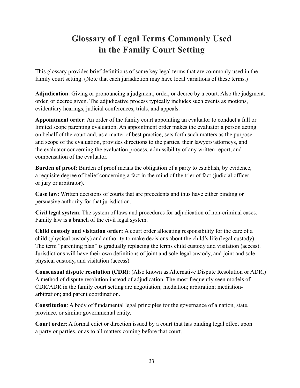## **Glossary of Legal Terms Commonly Used in the Family Court Setting**

This glossary provides brief definitions of some key legal terms that are commonly used in the family court setting. (Note that each jurisdiction may have local variations of these terms.)

**Adjudication**: Giving or pronouncing a judgment, order, or decree by a court. Also the judgment, order, or decree given. The adjudicative process typically includes such events as motions, evidentiary hearings, judicial conferences, trials, and appeals.

**Appointment order**: An order of the family court appointing an evaluator to conduct a full or limited scope parenting evaluation. An appointment order makes the evaluator a person acting on behalf of the court and, as a matter of best practice, sets forth such matters as the purpose and scope of the evaluation, provides directions to the parties, their lawyers/attorneys, and the evaluator concerning the evaluation process, admissibility of any written report, and compensation of the evaluator.

**Burden of proof**: Burden of proof means the obligation of a party to establish, by evidence, a requisite degree of belief concerning a fact in the mind of the trier of fact (judicial officer or jury or arbitrator).

**Case law**: Written decisions of courts that are precedents and thus have either binding or persuasive authority for that jurisdiction.

**Civil legal system**: The system of laws and procedures for adjudication of non-criminal cases. Family law is a branch of the civil legal system.

**Child custody and visitation order:** A court order allocating responsibility for the care of a child (physical custody) and authority to make decisions about the child's life (legal custody). The term "parenting plan" is gradually replacing the terms child custody and visitation (access). Jurisdictions will have their own definitions of joint and sole legal custody, and joint and sole physical custody, and visitation (access).

**Consensual dispute resolution (CDR)**: (Also known as Alternative Dispute Resolution or ADR.) A method of dispute resolution instead of adjudication. The most frequently seen models of CDR/ADR in the family court setting are negotiation; mediation; arbitration; mediationarbitration; and parent coordination.

**Constitution**: A body of fundamental legal principles for the governance of a nation, state, province, or similar governmental entity.

**Court order**: A formal edict or direction issued by a court that has binding legal effect upon a party or parties, or as to all matters coming before that court.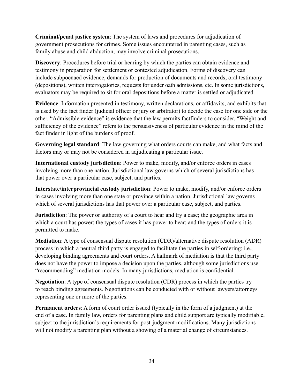**Criminal/penal justice system**: The system of laws and procedures for adjudication of government prosecutions for crimes. Some issues encountered in parenting cases, such as family abuse and child abduction, may involve criminal prosecutions.

**Discovery**: Procedures before trial or hearing by which the parties can obtain evidence and testimony in preparation for settlement or contested adjudication. Forms of discovery can include subpoenaed evidence, demands for production of documents and records; oral testimony (depositions), written interrogatories, requests for under oath admissions, etc. In some jurisdictions, evaluators may be required to sit for oral depositions before a matter is settled or adjudicated.

**Evidence**: Information presented in testimony, written declarations, or affidavits, and exhibits that is used by the fact finder (judicial officer or jury or arbitrator) to decide the case for one side or the other. "Admissible evidence" is evidence that the law permits factfinders to consider. "Weight and sufficiency of the evidence" refers to the persuasiveness of particular evidence in the mind of the fact finder in light of the burdens of proof.

**Governing legal standard**: The law governing what orders courts can make, and what facts and factors may or may not be considered in adjudicating a particular issue.

**International custody jurisdiction**: Power to make, modify, and/or enforce orders in cases involving more than one nation. Jurisdictional law governs which of several jurisdictions has that power over a particular case, subject, and parties.

**Interstate/interprovincial custody jurisdiction**: Power to make, modify, and/or enforce orders in cases involving more than one state or province within a nation. Jurisdictional law governs which of several jurisdictions has that power over a particular case, subject, and parties.

**Jurisdiction**: The power or authority of a court to hear and try a case; the geographic area in which a court has power; the types of cases it has power to hear; and the types of orders it is permitted to make.

**Mediation**: A type of consensual dispute resolution (CDR)/alternative dispute resolution (ADR) process in which a neutral third party is engaged to facilitate the parties in self-ordering; i.e., developing binding agreements and court orders. A hallmark of mediation is that the third party does not have the power to impose a decision upon the parties, although some jurisdictions use "recommending" mediation models. In many jurisdictions, mediation is confidential.

**Negotiation**: A type of consensual dispute resolution (CDR) process in which the parties try to reach binding agreements. Negotiations can be conducted with or without lawyers/attorneys representing one or more of the parties.

**Permanent orders**: A form of court order issued (typically in the form of a judgment) at the end of a case. In family law, orders for parenting plans and child support are typically modifiable, subject to the jurisdiction's requirements for post-judgment modifications. Many jurisdictions will not modify a parenting plan without a showing of a material change of circumstances.